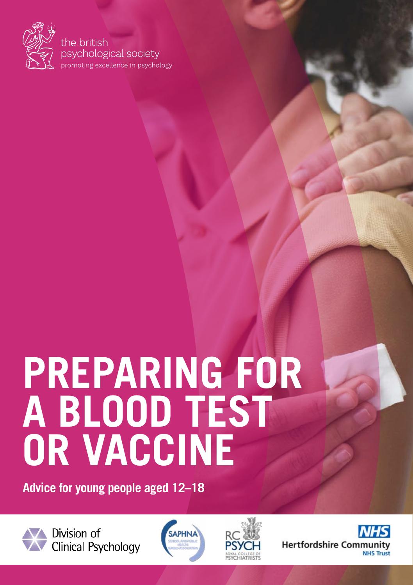

the british psychological society promoting excellence in psychology

# **PREPARING FOR A BLOOD TEST OR VACCINE**

**Advice for young people aged 12–18**



Division of **Clinical Psychology** 





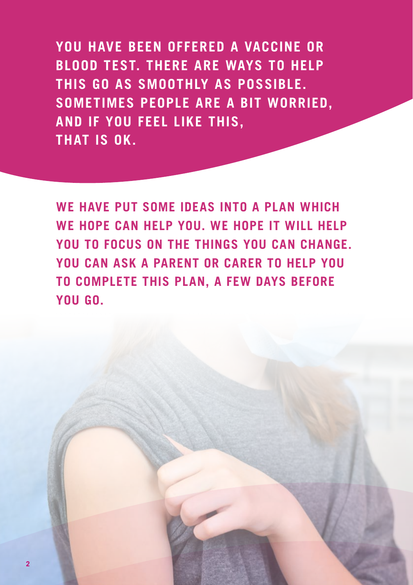**YOU HAVE BEEN OFFERED A VACCINE OR BLOOD TEST. THERE ARE WAYS TO HELP THIS GO AS SMOOTHLY AS POSSIBLE. SOMETIMES PEOPLE ARE A BIT WORRIED, AND IF YOU FEEL LIKE THIS, THAT IS OK.** 

**WE HAVE PUT SOME IDEAS INTO A PLAN WHICH WE HOPE CAN HELP YOU. WE HOPE IT WILL HELP YOU TO FOCUS ON THE THINGS YOU CAN CHANGE. YOU CAN ASK A PARENT OR CARER TO HELP YOU TO COMPLETE THIS PLAN, A FEW DAYS BEFORE YOU GO.**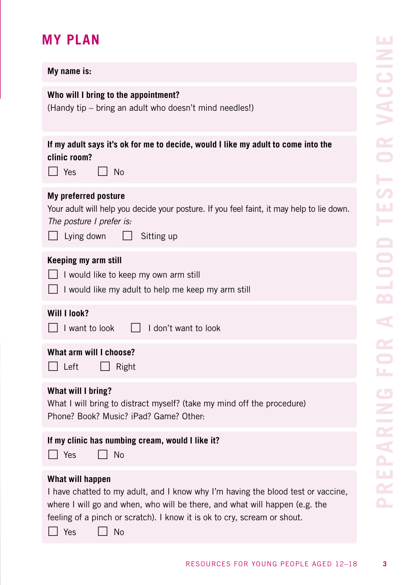## **MY PLAN**

| My name is:                                                                                                                                                                                                                                                                  |
|------------------------------------------------------------------------------------------------------------------------------------------------------------------------------------------------------------------------------------------------------------------------------|
| Who will I bring to the appointment?<br>(Handy tip - bring an adult who doesn't mind needles!)                                                                                                                                                                               |
| If my adult says it's ok for me to decide, would I like my adult to come into the<br>clinic room?<br>  Yes<br>- No                                                                                                                                                           |
| My preferred posture<br>Your adult will help you decide your posture. If you feel faint, it may help to lie down.<br>The posture I prefer is:<br>Lying down<br>Sitting up                                                                                                    |
| Keeping my arm still<br>$\Box$ I would like to keep my own arm still<br>□ I would like my adult to help me keep my arm still                                                                                                                                                 |
| Will I look?<br>I don't want to look<br>l I I want to look                                                                                                                                                                                                                   |
| What arm will I choose?<br>Left<br>Right                                                                                                                                                                                                                                     |
| What will I bring?<br>What I will bring to distract myself? (take my mind off the procedure)<br>Phone? Book? Music? iPad? Game? Other:                                                                                                                                       |
| If my clinic has numbing cream, would I like it?<br>l Yes<br><b>No</b>                                                                                                                                                                                                       |
| What will happen<br>I have chatted to my adult, and I know why I'm having the blood test or vaccine,<br>where I will go and when, who will be there, and what will happen (e.g. the<br>feeling of a pinch or scratch). I know it is ok to cry, scream or shout.<br>Yes<br>No |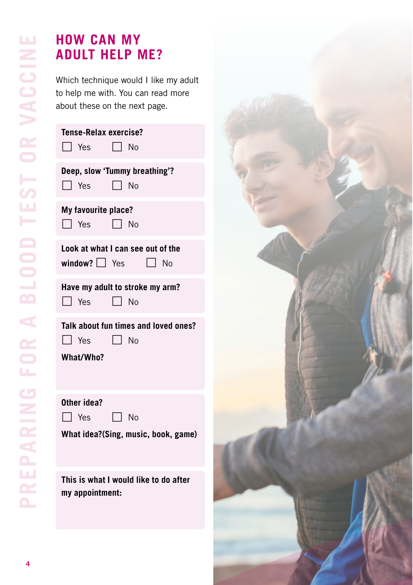### **HOW CAN MY ADULT HELP ME?**

Which technique would I like my adult to help me with. You can read more about these on the next page.

| Tense-Relax exercise?<br>l I Yes<br>l I No                           |
|----------------------------------------------------------------------|
| Deep, slow 'Tummy breathing'?<br>$\Box$ Yes $\Box$ No                |
| My favourite place?<br>$\blacksquare$ Yes<br>$\Box$ No               |
| Look at what I can see out of the<br>$window?$ $Yes$<br>l I No       |
| Have my adult to stroke my arm?<br>$\Box$ Yes<br>l I No              |
| Talk about fun times and loved ones?<br>l Yes<br>l I No<br>What/Who? |
| Other idea?                                                          |

**What idea?(Sing, music, book, game)** 

 $\Box$  Yes  $\Box$  No

**This is what I would like to do after my appointment:**

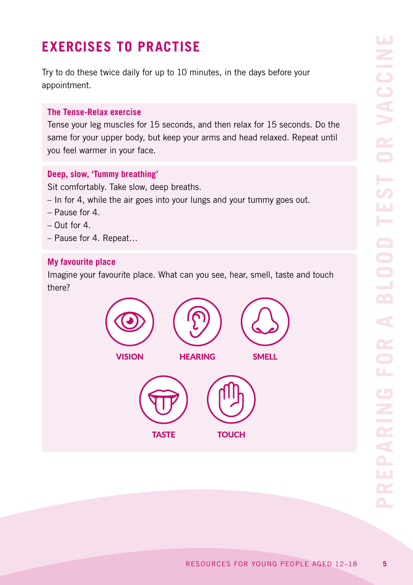## **EXERCISES TO PRACTISE**

Try to do these twice daily for up to 10 minutes, in the days before your appointment.

#### **The Tense-Relax exercise**

Tense your leg muscles for 15 seconds, and then relax for 15 seconds. Do the same for your upper body, but keep your arms and head relaxed. Repeat until you feel warmer in your face.

#### **Deep, slow, 'Tummy breathing'**

Sit comfortably. Take slow, deep breaths.

- In for 4, while the air goes into your lungs and your tummy goes out.
- Pause for 4.
- $-$  Out for  $\Lambda$
- Pause for 4. Repeat…

#### **My favourite place**

Imagine your favourite place. What can you see, hear, smell, taste and touch there?

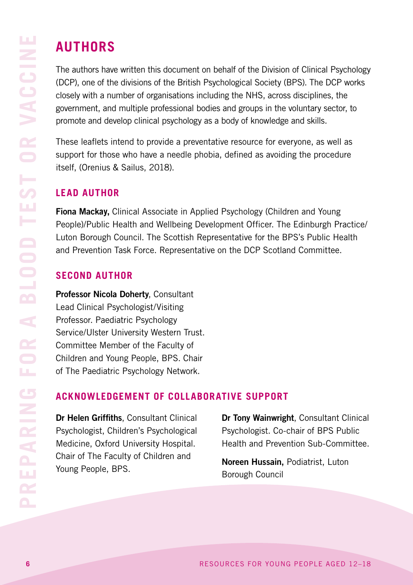## **AUTHORS**

The authors have written this document on behalf of the Division of Clinical Psychology (DCP), one of the divisions of the British Psychological Society (BPS). The DCP works closely with a number of organisations including the NHS, across disciplines, the government, and multiple professional bodies and groups in the voluntary sector, to promote and develop clinical psychology as a body of knowledge and skills.

These leaflets intend to provide a preventative resource for everyone, as well as support for those who have a needle phobia, defined as avoiding the procedure itself, (Orenius & Sailus, 2018).

#### **LEAD AUTHOR**

Fiona Mack**ay,** Clinical Associate in Applied Psychology (Children and Young People)/Public Health and Wellbeing Development Officer. The Edinburgh Practice/ Luton Borough Council. The Scottish Representative for the BPS's Public Health and Prevention Task Force. Representative on the DCP Scotland Committee.

#### **SECOND AUTHOR**

Professor Nicola Doherty, Consultant Lead Clinical Psychologist/Visiting Professor. Paediatric Psychology Service/Ulster University Western Trust. Committee Member of the Faculty of Children and Young People, BPS. Chair of The Paediatric Psychology Network.

#### **ACKNOWLEDGEMENT OF COLLABORATIVE SUPPORT**

Dr Helen Griffiths, Consultant Clinical Psychologist, Children's Psychological Medicine, Oxford University Hospital. Chair of The Faculty of Children and Young People, BPS.

Dr Tony Wainwright, Consultant Clinical Psychologist. Co-chair of BPS Public Health and Prevention Sub-Committee.

Noreen Hussain, Podiatrist, Luton Borough Council